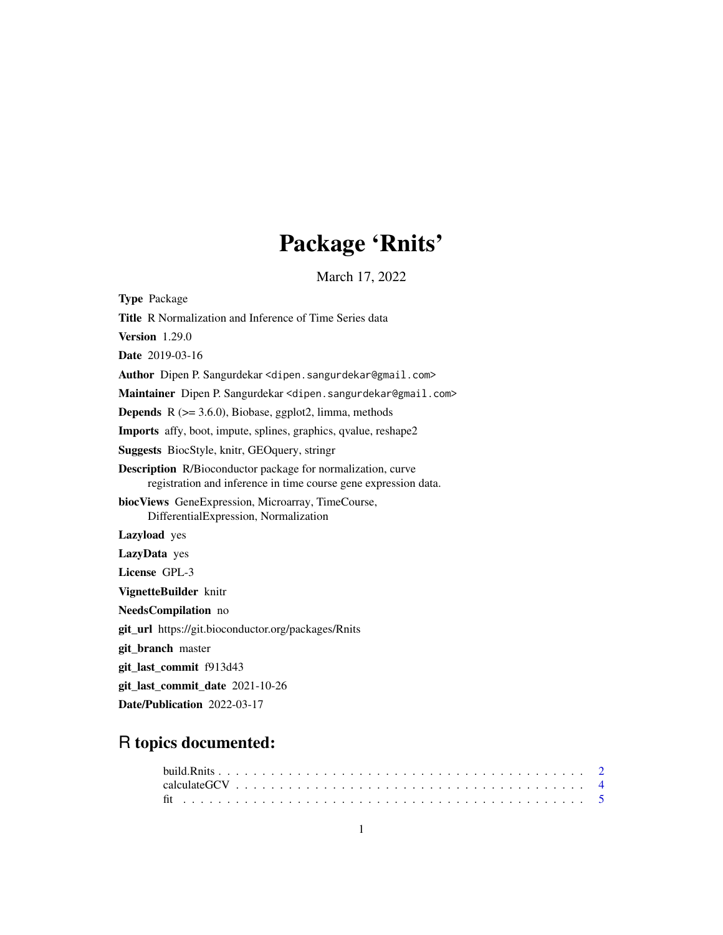# Package 'Rnits'

March 17, 2022

<span id="page-0-0"></span>

| <b>Type Package</b>                                                                                                                   |
|---------------------------------------------------------------------------------------------------------------------------------------|
| Title R Normalization and Inference of Time Series data                                                                               |
| Version $1.29.0$                                                                                                                      |
| <b>Date</b> 2019-03-16                                                                                                                |
| Author Dipen P. Sangurdekar <dipen.sangurdekar@gmail.com></dipen.sangurdekar@gmail.com>                                               |
| Maintainer Dipen P. Sangurdekar <dipen.sangurdekar@gmail.com></dipen.sangurdekar@gmail.com>                                           |
| <b>Depends</b> $R$ ( $> = 3.6.0$ ), Biobase, ggplot2, limma, methods                                                                  |
| <b>Imports</b> affy, boot, impute, splines, graphics, qvalue, reshape2                                                                |
| <b>Suggests</b> BiocStyle, knitr, GEO query, string r                                                                                 |
| <b>Description</b> R/Bioconductor package for normalization, curve<br>registration and inference in time course gene expression data. |
| biocViews GeneExpression, Microarray, TimeCourse,<br>DifferentialExpression, Normalization                                            |
| <b>Lazyload</b> yes                                                                                                                   |
| LazyData yes                                                                                                                          |
| License GPL-3                                                                                                                         |
| VignetteBuilder knitr                                                                                                                 |
| NeedsCompilation no                                                                                                                   |
| <b>git_url</b> https://git.bioconductor.org/packages/Rnits                                                                            |
| git_branch master                                                                                                                     |
| git_last_commit f913d43                                                                                                               |
| git_last_commit_date 2021-10-26                                                                                                       |
| Date/Publication 2022-03-17                                                                                                           |

## R topics documented: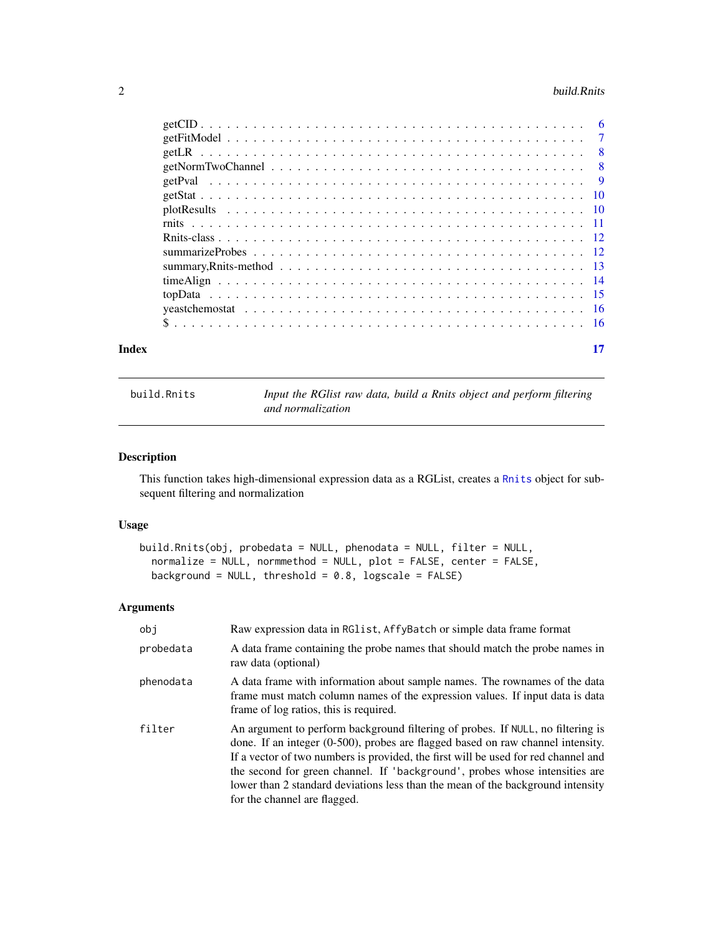#### <span id="page-1-0"></span>2 build.Rnits and the contract of the contract of the contract of the contract of the contract of the contract of the contract of the contract of the contract of the contract of the contract of the contract of the contract

build.Rnits *Input the RGlist raw data, build a Rnits object and perform filtering and normalization*

#### Description

This function takes high-dimensional expression data as a RGList, creates a [Rnits](#page-11-1) object for subsequent filtering and normalization

#### Usage

```
build.Rnits(obj, probedata = NULL, phenodata = NULL, filter = NULL,
 normalize = NULL, normmethod = NULL, plot = FALSE, center = FALSE,
 background = NULL, threshold = 0.8, logscale = FALSE)
```
#### Arguments

| obj       | Raw expression data in RG1ist, AffyBatch or simple data frame format                                                                                                                                                                                                                                                                                                                                                                                       |
|-----------|------------------------------------------------------------------------------------------------------------------------------------------------------------------------------------------------------------------------------------------------------------------------------------------------------------------------------------------------------------------------------------------------------------------------------------------------------------|
| probedata | A data frame containing the probe names that should match the probe names in<br>raw data (optional)                                                                                                                                                                                                                                                                                                                                                        |
| phenodata | A data frame with information about sample names. The rownames of the data<br>frame must match column names of the expression values. If input data is data<br>frame of log ratios, this is required.                                                                                                                                                                                                                                                      |
| filter    | An argument to perform background filtering of probes. If NULL, no filtering is<br>done. If an integer (0-500), probes are flagged based on raw channel intensity.<br>If a vector of two numbers is provided, the first will be used for red channel and<br>the second for green channel. If 'background', probes whose intensities are<br>lower than 2 standard deviations less than the mean of the background intensity<br>for the channel are flagged. |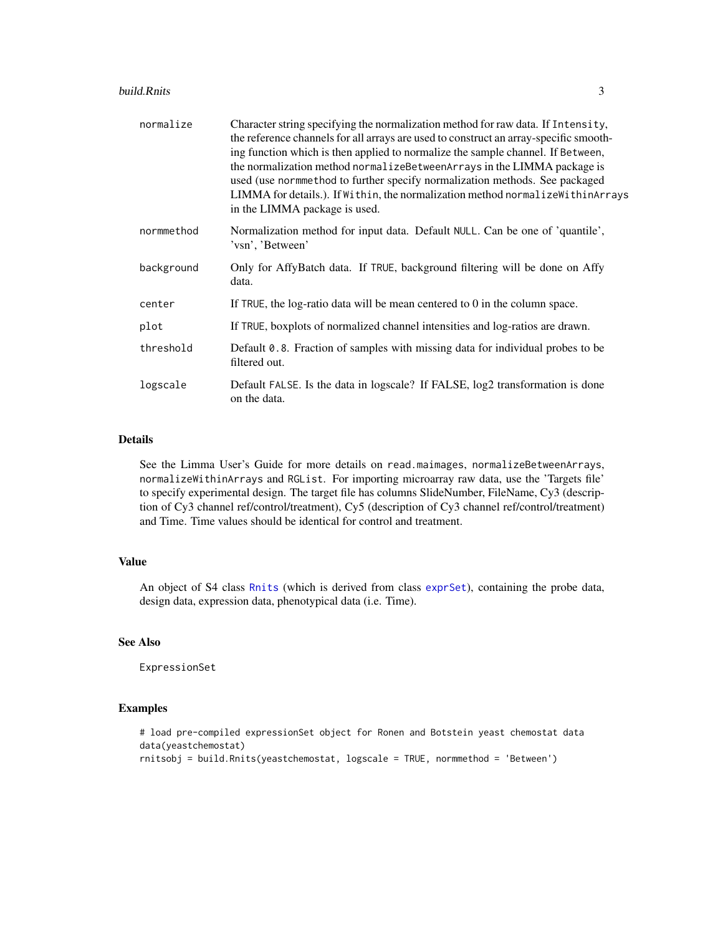<span id="page-2-0"></span>

| normalize  | Character string specifying the normalization method for raw data. If Intensity,<br>the reference channels for all arrays are used to construct an array-specific smooth-<br>ing function which is then applied to normalize the sample channel. If Between,<br>the normalization method normalizeBetweenArrays in the LIMMA package is<br>used (use normmethod to further specify normalization methods. See packaged<br>LIMMA for details.). If Within, the normalization method normalize Within Arrays<br>in the LIMMA package is used. |
|------------|---------------------------------------------------------------------------------------------------------------------------------------------------------------------------------------------------------------------------------------------------------------------------------------------------------------------------------------------------------------------------------------------------------------------------------------------------------------------------------------------------------------------------------------------|
| normmethod | Normalization method for input data. Default NULL. Can be one of 'quantile',<br>'vsn', 'Between'                                                                                                                                                                                                                                                                                                                                                                                                                                            |
| background | Only for AffyBatch data. If TRUE, background filtering will be done on Affy<br>data.                                                                                                                                                                                                                                                                                                                                                                                                                                                        |
| center     | If TRUE, the log-ratio data will be mean centered to 0 in the column space.                                                                                                                                                                                                                                                                                                                                                                                                                                                                 |
| plot       | If TRUE, boxplots of normalized channel intensities and log-ratios are drawn.                                                                                                                                                                                                                                                                                                                                                                                                                                                               |
| threshold  | Default 0.8. Fraction of samples with missing data for individual probes to be<br>filtered out.                                                                                                                                                                                                                                                                                                                                                                                                                                             |
| logscale   | Default FALSE. Is the data in logscale? If FALSE, log2 transformation is done<br>on the data.                                                                                                                                                                                                                                                                                                                                                                                                                                               |

#### Details

See the Limma User's Guide for more details on read.maimages, normalizeBetweenArrays, normalizeWithinArrays and RGList. For importing microarray raw data, use the 'Targets file' to specify experimental design. The target file has columns SlideNumber, FileName, Cy3 (description of Cy3 channel ref/control/treatment), Cy5 (description of Cy3 channel ref/control/treatment) and Time. Time values should be identical for control and treatment.

#### Value

An object of S4 class [Rnits](#page-11-1) (which is derived from class [exprSet](#page-0-0)), containing the probe data, design data, expression data, phenotypical data (i.e. Time).

#### See Also

ExpressionSet

```
# load pre-compiled expressionSet object for Ronen and Botstein yeast chemostat data
data(yeastchemostat)
rnitsobj = build.Rnits(yeastchemostat, logscale = TRUE, normmethod = 'Between')
```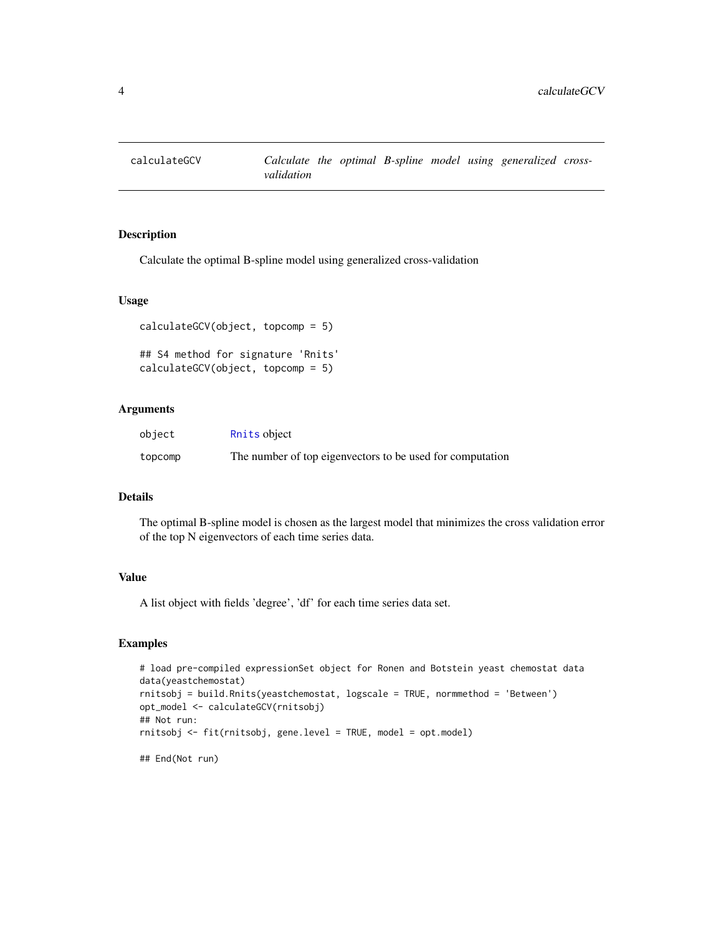<span id="page-3-0"></span>

Calculate the optimal B-spline model using generalized cross-validation

#### Usage

```
calculateGCV(object, topcomp = 5)
## S4 method for signature 'Rnits'
calculateGCV(object, topcomp = 5)
```
#### Arguments

| object  | Rnits object                                              |
|---------|-----------------------------------------------------------|
| topcomp | The number of top eigenvectors to be used for computation |

#### Details

The optimal B-spline model is chosen as the largest model that minimizes the cross validation error of the top N eigenvectors of each time series data.

#### Value

A list object with fields 'degree', 'df' for each time series data set.

```
# load pre-compiled expressionSet object for Ronen and Botstein yeast chemostat data
data(yeastchemostat)
rnitsobj = build.Rnits(yeastchemostat, logscale = TRUE, normmethod = 'Between')
opt_model <- calculateGCV(rnitsobj)
## Not run:
rnitsobj <- fit(rnitsobj, gene.level = TRUE, model = opt.model)
## End(Not run)
```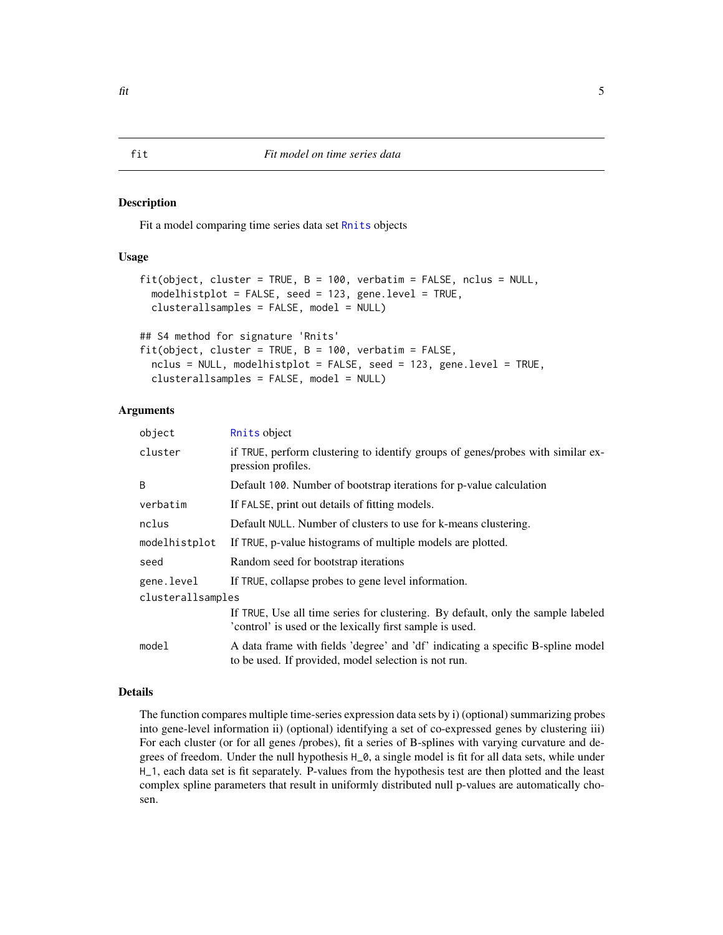<span id="page-4-0"></span>Fit a model comparing time series data set [Rnits](#page-11-1) objects

#### Usage

```
fit(object, cluster = TRUE, B = 100, verbatim = FALSE, nclus = NULL,
  modelhistplot = FALSE, seed = 123, gene.level = TRUE,
  clusterallsamples = FALSE, model = NULL)
## S4 method for signature 'Rnits'
fit(object, cluster = TRUE, B = 100, verbatim = FALSE,
```

```
nclus = NULL, modelhistplot = FALSE, seed = 123, gene.level = TRUE,
clusterallsamples = FALSE, model = NULL)
```
#### Arguments

| object            | Rnits object                                                                                                                                 |  |
|-------------------|----------------------------------------------------------------------------------------------------------------------------------------------|--|
| cluster           | if TRUE, perform clustering to identify groups of genes/probes with similar ex-<br>pression profiles.                                        |  |
| B                 | Default 100. Number of bootstrap iterations for p-value calculation                                                                          |  |
| verbatim          | If FALSE, print out details of fitting models.                                                                                               |  |
| nclus             | Default NULL. Number of clusters to use for k-means clustering.                                                                              |  |
| modelhistplot     | If TRUE, p-value histograms of multiple models are plotted.                                                                                  |  |
| seed              | Random seed for bootstrap iterations                                                                                                         |  |
| gene.level        | If TRUE, collapse probes to gene level information.                                                                                          |  |
| clusterallsamples |                                                                                                                                              |  |
|                   | If TRUE, Use all time series for clustering. By default, only the sample labeled<br>'control' is used or the lexically first sample is used. |  |
| model             | A data frame with fields 'degree' and 'df' indicating a specific B-spline model<br>to be used. If provided, model selection is not run.      |  |

#### Details

The function compares multiple time-series expression data sets by i) (optional) summarizing probes into gene-level information ii) (optional) identifying a set of co-expressed genes by clustering iii) For each cluster (or for all genes /probes), fit a series of B-splines with varying curvature and degrees of freedom. Under the null hypothesis H\_0, a single model is fit for all data sets, while under H\_1, each data set is fit separately. P-values from the hypothesis test are then plotted and the least complex spline parameters that result in uniformly distributed null p-values are automatically chosen.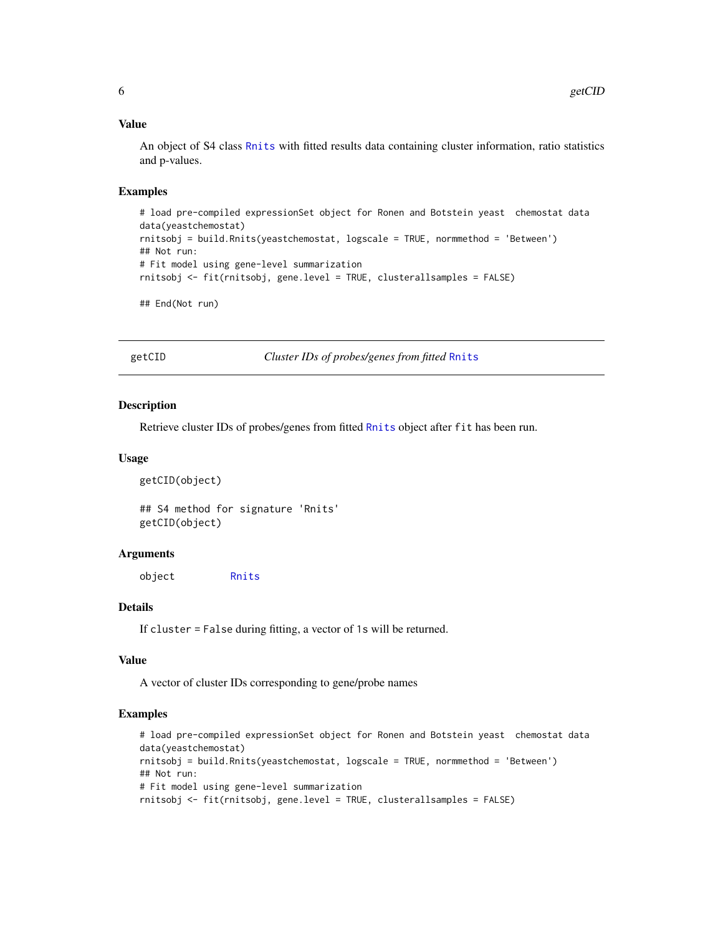#### Value

An object of S4 class [Rnits](#page-11-1) with fitted results data containing cluster information, ratio statistics and p-values.

#### Examples

```
# load pre-compiled expressionSet object for Ronen and Botstein yeast chemostat data
data(yeastchemostat)
rnitsobj = build.Rnits(yeastchemostat, logscale = TRUE, normmethod = 'Between')
## Not run:
# Fit model using gene-level summarization
rnitsobj <- fit(rnitsobj, gene.level = TRUE, clusterallsamples = FALSE)
## End(Not run)
```
getCID *Cluster IDs of probes/genes from fitted* [Rnits](#page-11-1)

#### Description

Retrieve cluster IDs of probes/genes from fitted [Rnits](#page-11-1) object after fit has been run.

#### Usage

```
getCID(object)
```
## S4 method for signature 'Rnits' getCID(object)

#### Arguments

object [Rnits](#page-11-1)

#### Details

If cluster = False during fitting, a vector of 1s will be returned.

#### Value

A vector of cluster IDs corresponding to gene/probe names

```
# load pre-compiled expressionSet object for Ronen and Botstein yeast chemostat data
data(yeastchemostat)
rnitsobj = build.Rnits(yeastchemostat, logscale = TRUE, normmethod = 'Between')
## Not run:
# Fit model using gene-level summarization
rnitsobj <- fit(rnitsobj, gene.level = TRUE, clusterallsamples = FALSE)
```
<span id="page-5-0"></span>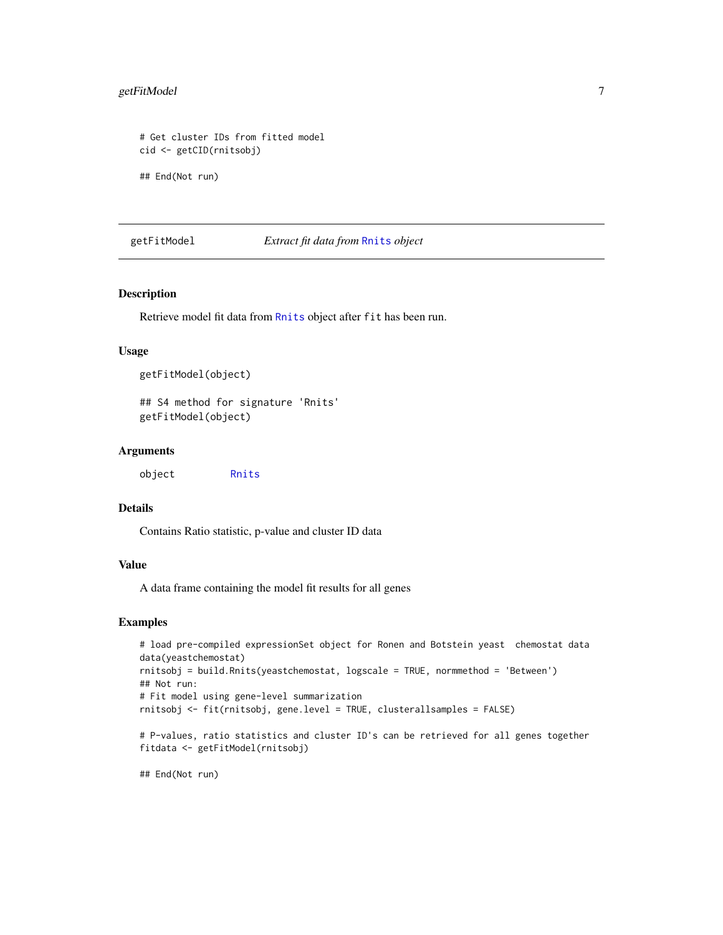#### <span id="page-6-0"></span>getFitModel 7

```
# Get cluster IDs from fitted model
cid <- getCID(rnitsobj)
```
## End(Not run)

#### getFitModel *Extract fit data from* [Rnits](#page-11-1) *object*

#### Description

Retrieve model fit data from [Rnits](#page-11-1) object after fit has been run.

#### Usage

```
getFitModel(object)
```
## S4 method for signature 'Rnits' getFitModel(object)

#### Arguments

| object | Rnits |
|--------|-------|
|--------|-------|

#### Details

Contains Ratio statistic, p-value and cluster ID data

#### Value

A data frame containing the model fit results for all genes

#### Examples

```
# load pre-compiled expressionSet object for Ronen and Botstein yeast chemostat data
data(yeastchemostat)
rnitsobj = build.Rnits(yeastchemostat, logscale = TRUE, normmethod = 'Between')
## Not run:
# Fit model using gene-level summarization
rnitsobj <- fit(rnitsobj, gene.level = TRUE, clusterallsamples = FALSE)
# P-values, ratio statistics and cluster ID's can be retrieved for all genes together
fitdata <- getFitModel(rnitsobj)
```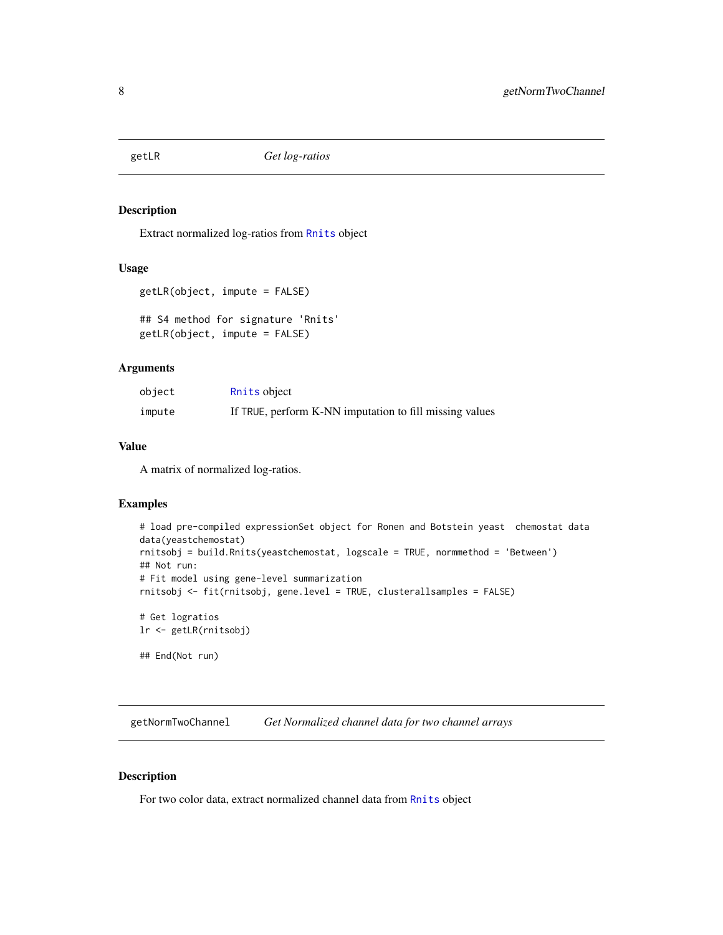<span id="page-7-0"></span>

Extract normalized log-ratios from [Rnits](#page-11-1) object

#### Usage

```
getLR(object, impute = FALSE)
```

```
## S4 method for signature 'Rnits'
getLR(object, impute = FALSE)
```
#### Arguments

| object | Rnits object                                            |
|--------|---------------------------------------------------------|
| impute | If TRUE, perform K-NN imputation to fill missing values |

#### Value

A matrix of normalized log-ratios.

#### Examples

```
# load pre-compiled expressionSet object for Ronen and Botstein yeast chemostat data
data(yeastchemostat)
rnitsobj = build.Rnits(yeastchemostat, logscale = TRUE, normmethod = 'Between')
## Not run:
# Fit model using gene-level summarization
rnitsobj <- fit(rnitsobj, gene.level = TRUE, clusterallsamples = FALSE)
# Get logratios
lr <- getLR(rnitsobj)
## End(Not run)
```
getNormTwoChannel *Get Normalized channel data for two channel arrays*

#### Description

For two color data, extract normalized channel data from [Rnits](#page-11-1) object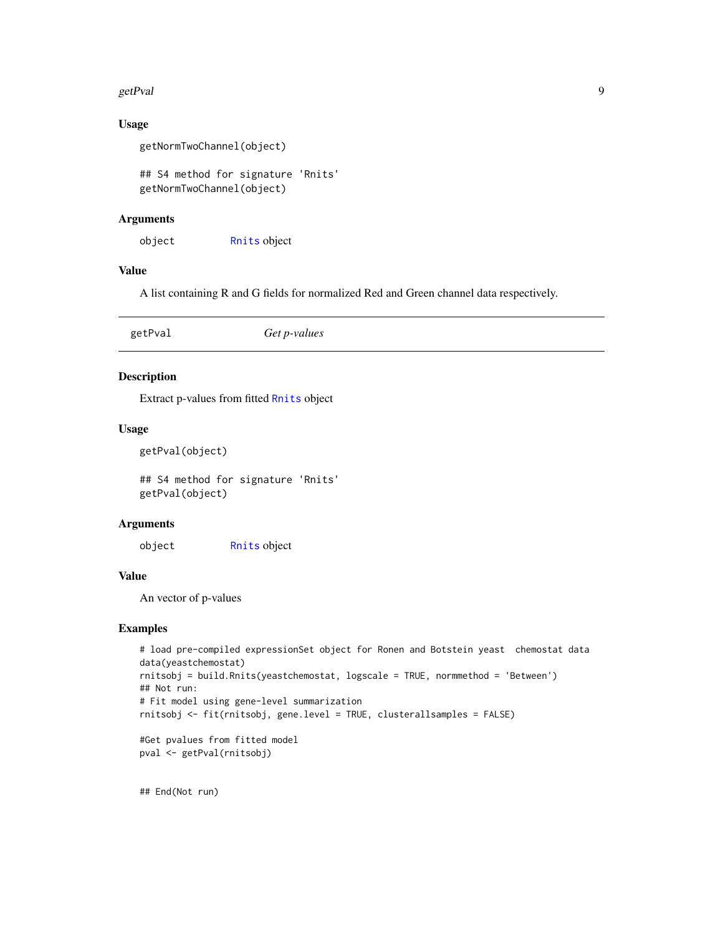#### <span id="page-8-0"></span>getPval 9

#### Usage

```
getNormTwoChannel(object)
```
## S4 method for signature 'Rnits' getNormTwoChannel(object)

#### Arguments

object [Rnits](#page-11-1) object

#### Value

A list containing R and G fields for normalized Red and Green channel data respectively.

| Get p-values<br>getPval |  |
|-------------------------|--|
|-------------------------|--|

#### Description

Extract p-values from fitted [Rnits](#page-11-1) object

#### Usage

```
getPval(object)
```
## S4 method for signature 'Rnits' getPval(object)

#### Arguments

object [Rnits](#page-11-1) object

#### Value

An vector of p-values

#### Examples

```
# load pre-compiled expressionSet object for Ronen and Botstein yeast chemostat data
data(yeastchemostat)
rnitsobj = build.Rnits(yeastchemostat, logscale = TRUE, normmethod = 'Between')
## Not run:
# Fit model using gene-level summarization
rnitsobj <- fit(rnitsobj, gene.level = TRUE, clusterallsamples = FALSE)
#Get pvalues from fitted model
```

```
pval <- getPval(rnitsobj)
```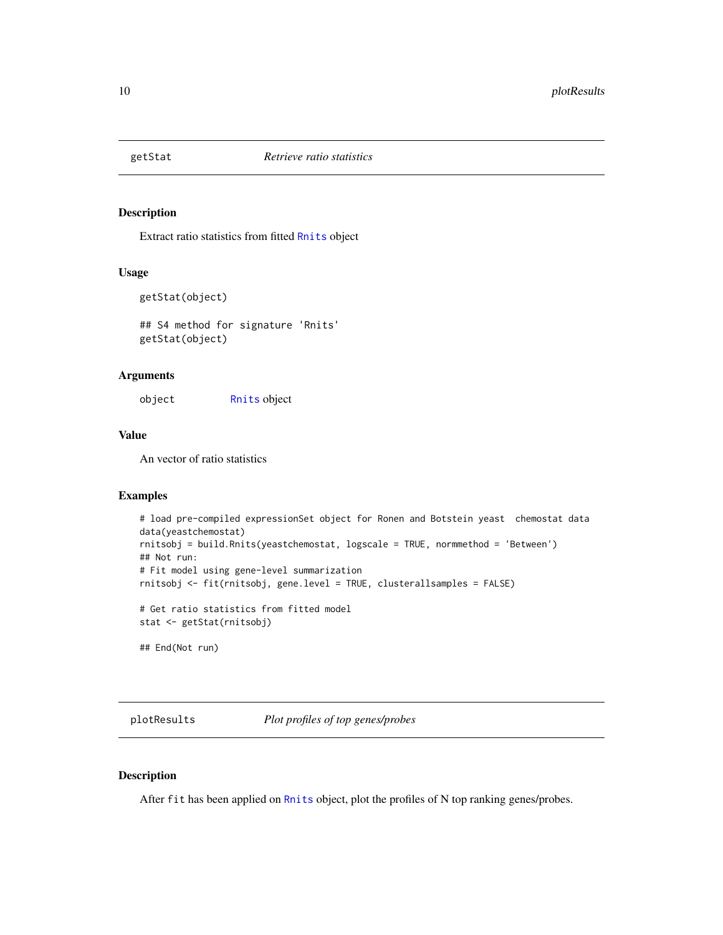<span id="page-9-0"></span>

Extract ratio statistics from fitted [Rnits](#page-11-1) object

#### Usage

```
getStat(object)
```
## S4 method for signature 'Rnits' getStat(object)

#### Arguments

object [Rnits](#page-11-1) object

#### Value

An vector of ratio statistics

#### Examples

```
# load pre-compiled expressionSet object for Ronen and Botstein yeast chemostat data
data(yeastchemostat)
rnitsobj = build.Rnits(yeastchemostat, logscale = TRUE, normmethod = 'Between')
## Not run:
# Fit model using gene-level summarization
rnitsobj <- fit(rnitsobj, gene.level = TRUE, clusterallsamples = FALSE)
# Get ratio statistics from fitted model
stat <- getStat(rnitsobj)
## End(Not run)
```
plotResults *Plot profiles of top genes/probes*

#### Description

After fit has been applied on [Rnits](#page-11-1) object, plot the profiles of N top ranking genes/probes.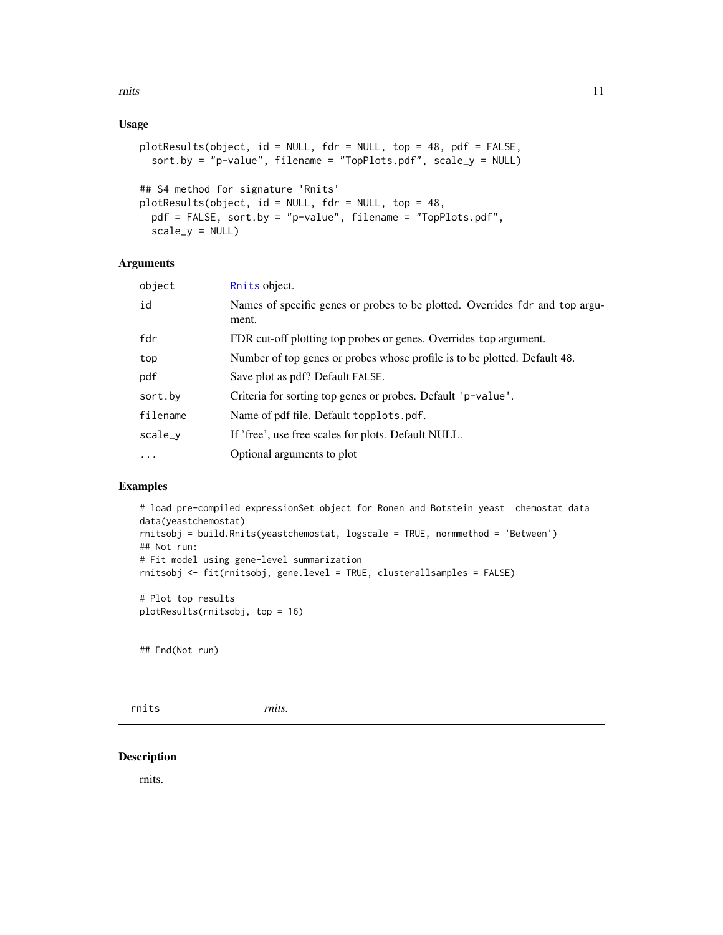#### <span id="page-10-0"></span>Usage

```
plotResults(object, id = NULL, fdr = NULL, top = 48, pdf = FALSE,
  sort.by = "p-value", filename = "TopPlots.pdf", scale_y = NULL)
## S4 method for signature 'Rnits'
plotResults(object, id = NULL, fdr = NULL, top = 48,
 pdf = FALSE, sort.by = "p-value", filename = "TopPlots.pdf",
  scale_y = NULL
```
## Arguments

| object    | Rnits object.                                                                         |
|-----------|---------------------------------------------------------------------------------------|
| id        | Names of specific genes or probes to be plotted. Overrides fdr and top argu-<br>ment. |
| fdr       | FDR cut-off plotting top probes or genes. Overrides top argument.                     |
| top       | Number of top genes or probes whose profile is to be plotted. Default 48.             |
| pdf       | Save plot as pdf? Default FALSE.                                                      |
| sort.by   | Criteria for sorting top genes or probes. Default 'p-value'.                          |
| filename  | Name of pdf file. Default topplots.pdf.                                               |
| scale_v   | If 'free', use free scales for plots. Default NULL.                                   |
| $\ddotsc$ | Optional arguments to plot                                                            |
|           |                                                                                       |

#### Examples

```
# load pre-compiled expressionSet object for Ronen and Botstein yeast chemostat data
data(yeastchemostat)
rnitsobj = build.Rnits(yeastchemostat, logscale = TRUE, normmethod = 'Between')
## Not run:
# Fit model using gene-level summarization
rnitsobj <- fit(rnitsobj, gene.level = TRUE, clusterallsamples = FALSE)
# Plot top results
plotResults(rnitsobj, top = 16)
```
## End(Not run)

rnits *rnits.*

#### Description

rnits.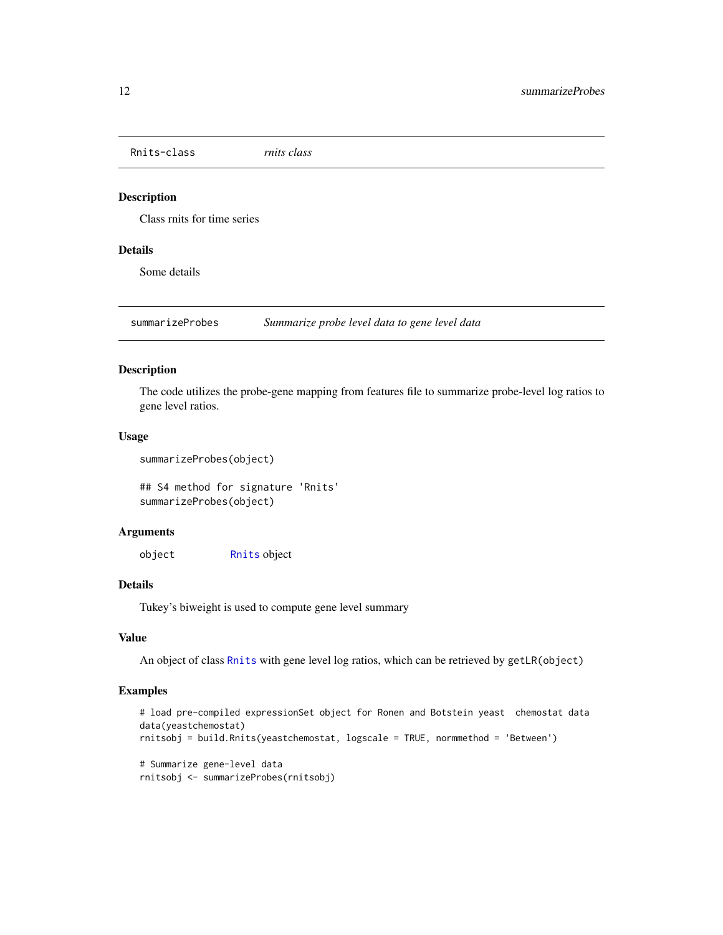<span id="page-11-1"></span><span id="page-11-0"></span>Rnits-class *rnits class*

#### Description

Class rnits for time series

#### Details

Some details

summarizeProbes *Summarize probe level data to gene level data*

#### Description

The code utilizes the probe-gene mapping from features file to summarize probe-level log ratios to gene level ratios.

#### Usage

```
summarizeProbes(object)
```
## S4 method for signature 'Rnits' summarizeProbes(object)

#### Arguments

object [Rnits](#page-11-1) object

#### Details

Tukey's biweight is used to compute gene level summary

#### Value

An object of class [Rnits](#page-11-1) with gene level log ratios, which can be retrieved by getLR(object)

```
# load pre-compiled expressionSet object for Ronen and Botstein yeast chemostat data
data(yeastchemostat)
rnitsobj = build.Rnits(yeastchemostat, logscale = TRUE, normmethod = 'Between')
# Summarize gene-level data
rnitsobj <- summarizeProbes(rnitsobj)
```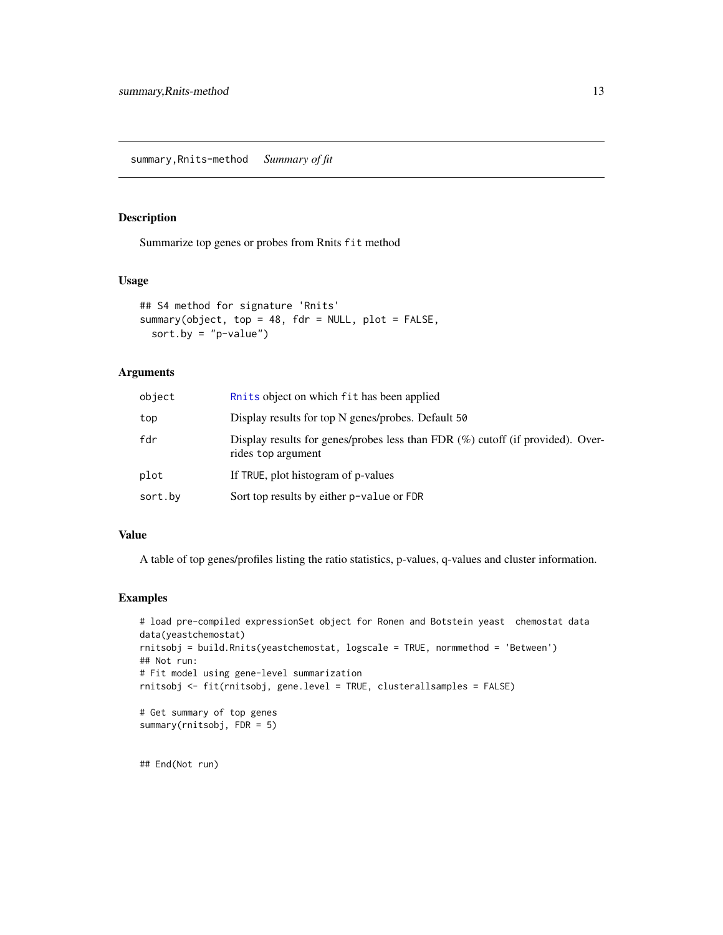<span id="page-12-0"></span>Summarize top genes or probes from Rnits fit method

#### Usage

```
## S4 method for signature 'Rnits'
summary(object, top = 48, fdr = NULL, plot = FALSE,
 sort.by = "p-value")
```
#### Arguments

| object  | Ruits object on which fit has been applied                                                              |
|---------|---------------------------------------------------------------------------------------------------------|
| top     | Display results for top N genes/probes. Default 50                                                      |
| fdr     | Display results for genes/probes less than FDR $(\%)$ cutoff (if provided). Over-<br>rides top argument |
| plot    | If TRUE, plot histogram of p-values                                                                     |
| sort.by | Sort top results by either p-value or FDR                                                               |

#### Value

A table of top genes/profiles listing the ratio statistics, p-values, q-values and cluster information.

#### Examples

```
# load pre-compiled expressionSet object for Ronen and Botstein yeast chemostat data
data(yeastchemostat)
rnitsobj = build.Rnits(yeastchemostat, logscale = TRUE, normmethod = 'Between')
## Not run:
# Fit model using gene-level summarization
rnitsobj <- fit(rnitsobj, gene.level = TRUE, clusterallsamples = FALSE)
# Get summary of top genes
summary(rnitsobj, FDR = 5)
```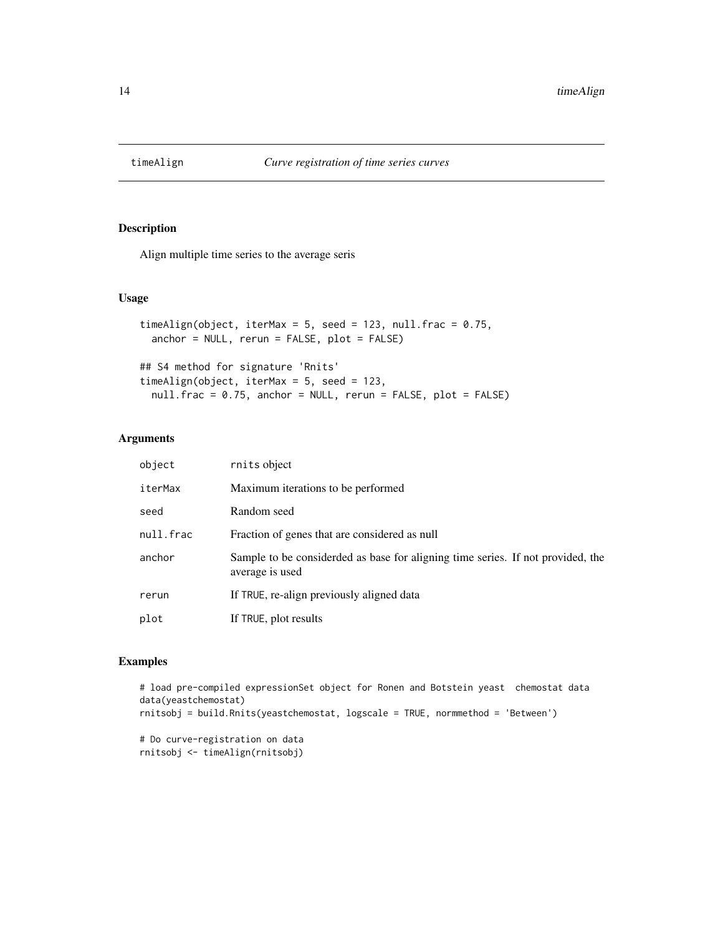<span id="page-13-0"></span>

Align multiple time series to the average seris

#### Usage

```
timeAlign(object, iterMax = 5, seed = 123, null.frac = 0.75,
 anchor = NULL, rerun = FALSE, plot = FALSE)
## S4 method for signature 'Rnits'
timeAlign(object, iterMax = 5, seed = 123,
  null.frac = 0.75, anchor = NULL, rerun = FALSE, plot = FALSE)
```
#### Arguments

| object    | rnits object                                                                                       |
|-----------|----------------------------------------------------------------------------------------------------|
| iterMax   | Maximum iterations to be performed.                                                                |
| seed      | Random seed                                                                                        |
| null.frac | Fraction of genes that are considered as null                                                      |
| anchor    | Sample to be considerded as base for aligning time series. If not provided, the<br>average is used |
| rerun     | If TRUE, re-align previously aligned data                                                          |
| plot      | If TRUE, plot results                                                                              |

```
# load pre-compiled expressionSet object for Ronen and Botstein yeast chemostat data
data(yeastchemostat)
rnitsobj = build.Rnits(yeastchemostat, logscale = TRUE, normmethod = 'Between')
```

```
# Do curve-registration on data
rnitsobj <- timeAlign(rnitsobj)
```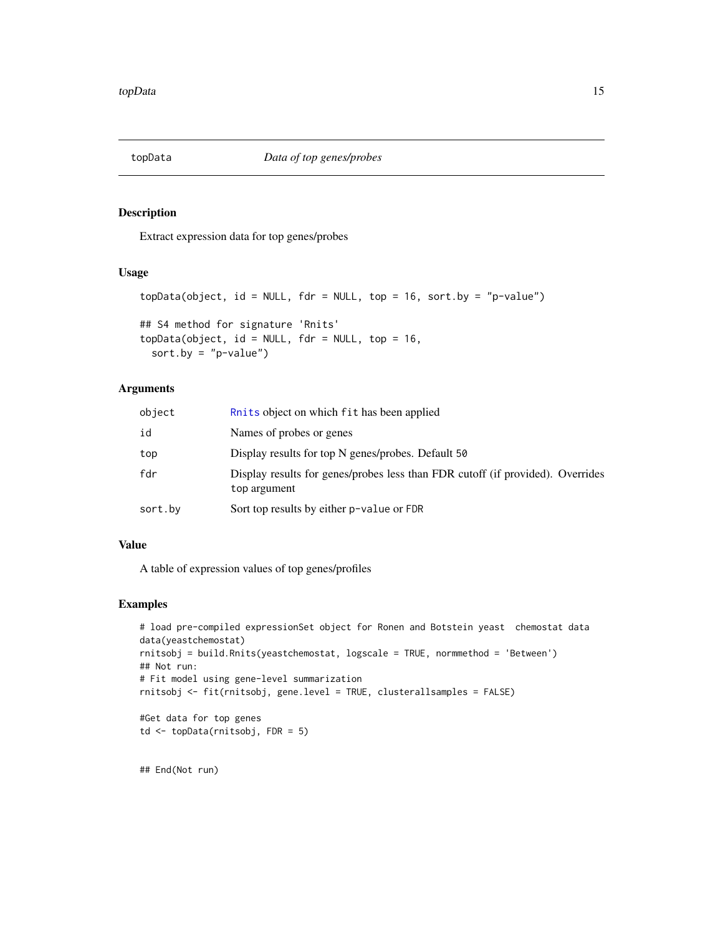<span id="page-14-0"></span>

Extract expression data for top genes/probes

#### Usage

```
topData(object, id = NULL, fdr = NULL, top = 16, sort.py = "p-value")## S4 method for signature 'Rnits'
topData(object, id = NULL, fdr = NULL, top = 16,
 sort.by = "p-value")
```
#### Arguments

| object  | Ruits object on which fit has been applied                                                     |
|---------|------------------------------------------------------------------------------------------------|
| id      | Names of probes or genes                                                                       |
| top     | Display results for top N genes/probes. Default 50                                             |
| fdr     | Display results for genes/probes less than FDR cutoff (if provided). Overrides<br>top argument |
| sort.by | Sort top results by either p-value or FDR                                                      |

#### Value

A table of expression values of top genes/profiles

#### Examples

```
# load pre-compiled expressionSet object for Ronen and Botstein yeast chemostat data
data(yeastchemostat)
rnitsobj = build.Rnits(yeastchemostat, logscale = TRUE, normmethod = 'Between')
## Not run:
# Fit model using gene-level summarization
rnitsobj <- fit(rnitsobj, gene.level = TRUE, clusterallsamples = FALSE)
#Get data for top genes
td <- topData(rnitsobj, FDR = 5)
```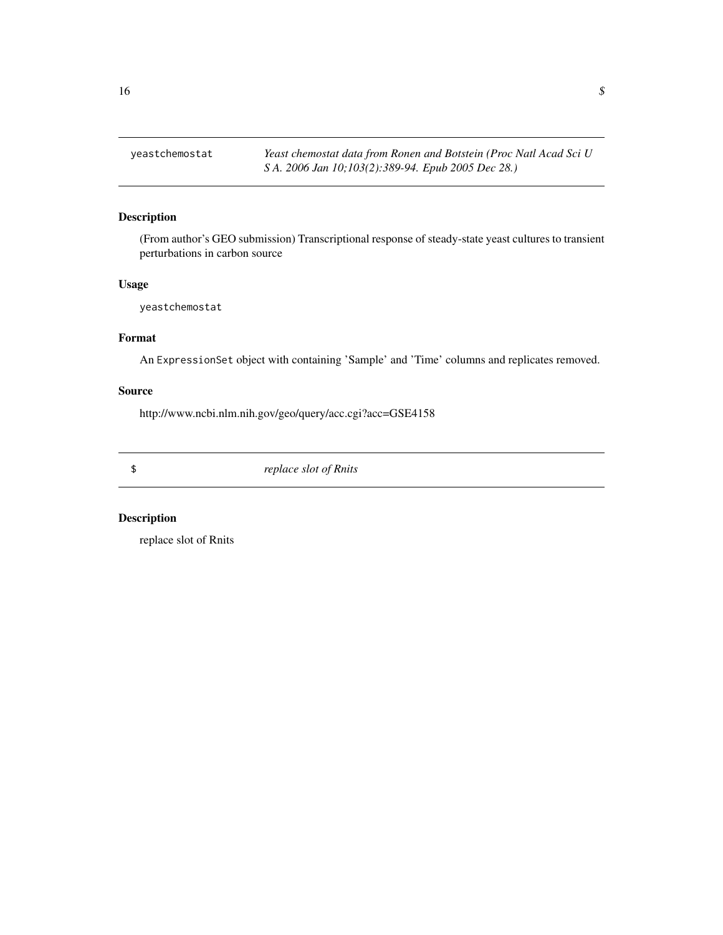<span id="page-15-0"></span>yeastchemostat *Yeast chemostat data from Ronen and Botstein (Proc Natl Acad Sci U S A. 2006 Jan 10;103(2):389-94. Epub 2005 Dec 28.)*

#### Description

(From author's GEO submission) Transcriptional response of steady-state yeast cultures to transient perturbations in carbon source

#### Usage

yeastchemostat

### Format

An ExpressionSet object with containing 'Sample' and 'Time' columns and replicates removed.

#### Source

http://www.ncbi.nlm.nih.gov/geo/query/acc.cgi?acc=GSE4158

\$ *replace slot of Rnits*

#### Description

replace slot of Rnits